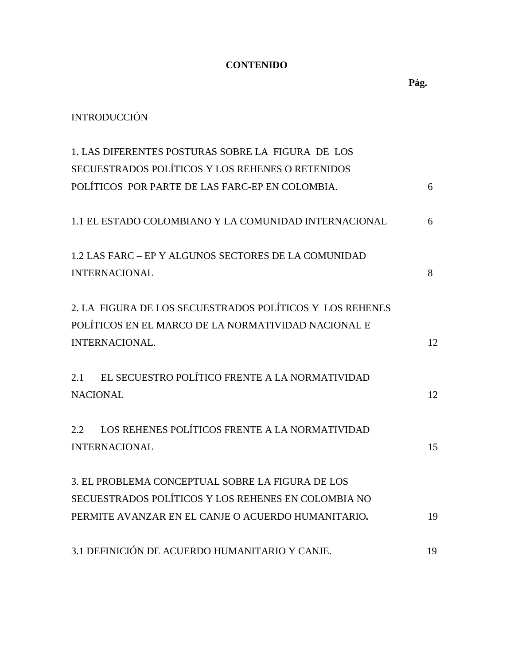## **CONTENIDO**

## INTRODUCCIÓN

| 1. LAS DIFERENTES POSTURAS SOBRE LA FIGURA DE LOS                                                                                                             |    |
|---------------------------------------------------------------------------------------------------------------------------------------------------------------|----|
| SECUESTRADOS POLÍTICOS Y LOS REHENES O RETENIDOS                                                                                                              |    |
| POLÍTICOS POR PARTE DE LAS FARC-EP EN COLOMBIA.                                                                                                               | 6  |
| 1.1 EL ESTADO COLOMBIANO Y LA COMUNIDAD INTERNACIONAL                                                                                                         | 6  |
| 1.2 LAS FARC – EP Y ALGUNOS SECTORES DE LA COMUNIDAD<br><b>INTERNACIONAL</b>                                                                                  | 8  |
| 2. LA FIGURA DE LOS SECUESTRADOS POLÍTICOS Y LOS REHENES<br>POLÍTICOS EN EL MARCO DE LA NORMATIVIDAD NACIONAL E<br>INTERNACIONAL.                             | 12 |
| EL SECUESTRO POLÍTICO FRENTE A LA NORMATIVIDAD<br>2.1<br><b>NACIONAL</b>                                                                                      | 12 |
| LOS REHENES POLÍTICOS FRENTE A LA NORMATIVIDAD<br>2.2<br><b>INTERNACIONAL</b>                                                                                 | 15 |
| 3. EL PROBLEMA CONCEPTUAL SOBRE LA FIGURA DE LOS<br>SECUESTRADOS POLÍTICOS Y LOS REHENES EN COLOMBIA NO<br>PERMITE AVANZAR EN EL CANJE O ACUERDO HUMANITARIO. | 19 |
| 3.1 DEFINICIÓN DE ACUERDO HUMANITARIO Y CANJE.                                                                                                                | 19 |